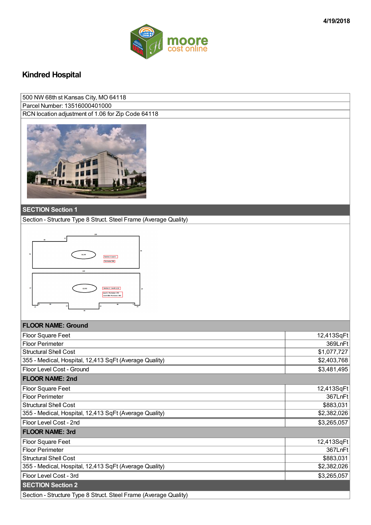

## **Kindred Hospital**

| 500 NW 68th st Kansas City, MO 64118               |
|----------------------------------------------------|
| Parcel Number: 13516000401000                      |
| RCN location adjustment of 1.06 for Zip Code 64118 |
|                                                    |



## **SECTION Section 1**

Section - Structure Type 8 Struct. Steel Frame (Average Quality)



## **FLOOR NAME: Ground**

| <b>Floor Square Feet</b>                                         | 12,413SqFt  |
|------------------------------------------------------------------|-------------|
| <b>Floor Perimeter</b>                                           | 369LnFt     |
| <b>Structural Shell Cost</b>                                     | \$1,077,727 |
| 355 - Medical, Hospital, 12,413 SqFt (Average Quality)           | \$2,403,768 |
| Floor Level Cost - Ground                                        | \$3,481,495 |
| <b>FLOOR NAME: 2nd</b>                                           |             |
| Floor Square Feet                                                | 12,413SqFt  |
| Floor Perimeter                                                  | 367LnFt     |
| <b>Structural Shell Cost</b>                                     | \$883,031   |
| 355 - Medical, Hospital, 12,413 SqFt (Average Quality)           | \$2,382,026 |
| Floor Level Cost - 2nd                                           | \$3,265,057 |
| <b>FLOOR NAME: 3rd</b>                                           |             |
| Floor Square Feet                                                | 12,413SqFt  |
| <b>Floor Perimeter</b>                                           | 367LnFt     |
| <b>Structural Shell Cost</b>                                     | \$883,031   |
| 355 - Medical, Hospital, 12,413 SqFt (Average Quality)           | \$2,382,026 |
| Floor Level Cost - 3rd                                           | \$3,265,057 |
| <b>SECTION Section 2</b>                                         |             |
| Section - Structure Type 8 Struct. Steel Frame (Average Quality) |             |